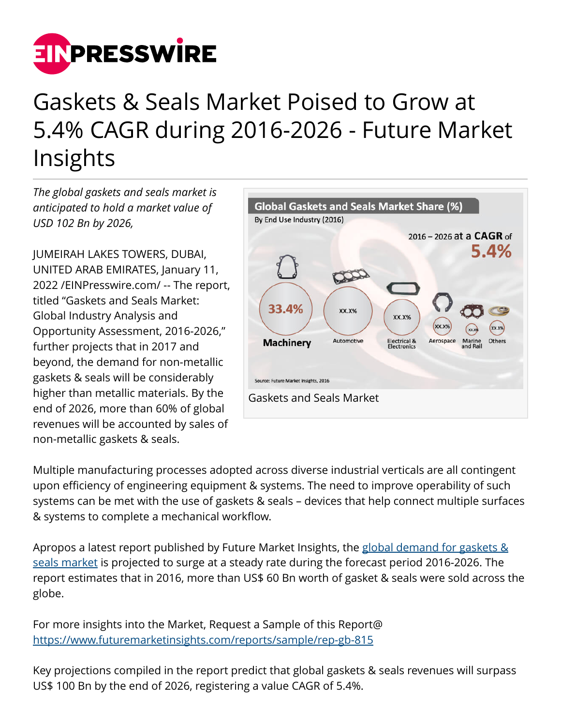

## Gaskets & Seals Market Poised to Grow at 5.4% CAGR during 2016-2026 - Future Market Insights

*The global gaskets and seals market is anticipated to hold a market value of USD 102 Bn by 2026,*

JUMEIRAH LAKES TOWERS, DUBAI, UNITED ARAB EMIRATES, January 11, 2022 /[EINPresswire.com](http://www.einpresswire.com)/ -- The report, titled "Gaskets and Seals Market: Global Industry Analysis and Opportunity Assessment, 2016-2026," further projects that in 2017 and beyond, the demand for non-metallic gaskets & seals will be considerably higher than metallic materials. By the end of 2026, more than 60% of global revenues will be accounted by sales of non-metallic gaskets & seals.



Multiple manufacturing processes adopted across diverse industrial verticals are all contingent upon efficiency of engineering equipment & systems. The need to improve operability of such systems can be met with the use of gaskets & seals – devices that help connect multiple surfaces & systems to complete a mechanical workflow.

Apropos a latest report published by Future Market Insights, the [global demand for gaskets &](https://www.futuremarketinsights.com/reports/gaskets-and-seals-market) [seals market](https://www.futuremarketinsights.com/reports/gaskets-and-seals-market) is projected to surge at a steady rate during the forecast period 2016-2026. The report estimates that in 2016, more than US\$ 60 Bn worth of gasket & seals were sold across the globe.

For more insights into the Market, Request a Sample of this Report@ <https://www.futuremarketinsights.com/reports/sample/rep-gb-815>

Key projections compiled in the report predict that global gaskets & seals revenues will surpass US\$ 100 Bn by the end of 2026, registering a value CAGR of 5.4%.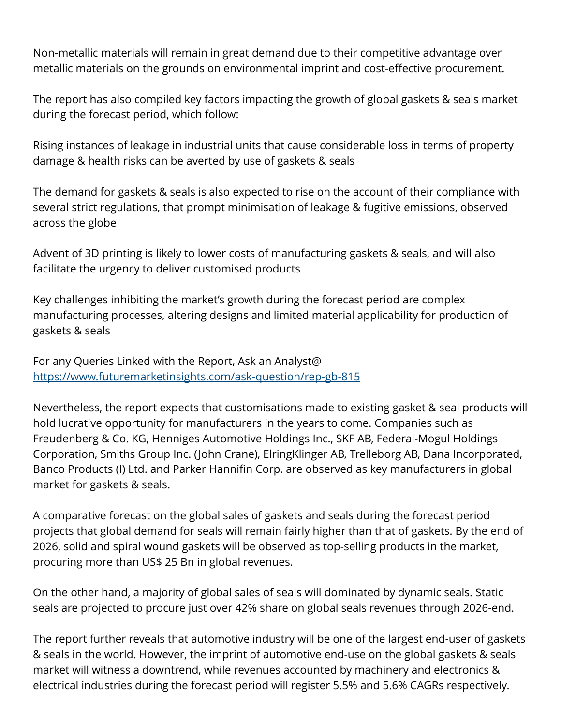Non-metallic materials will remain in great demand due to their competitive advantage over metallic materials on the grounds on environmental imprint and cost-effective procurement.

The report has also compiled key factors impacting the growth of global gaskets & seals market during the forecast period, which follow:

Rising instances of leakage in industrial units that cause considerable loss in terms of property damage & health risks can be averted by use of gaskets & seals

The demand for gaskets & seals is also expected to rise on the account of their compliance with several strict regulations, that prompt minimisation of leakage & fugitive emissions, observed across the globe

Advent of 3D printing is likely to lower costs of manufacturing gaskets & seals, and will also facilitate the urgency to deliver customised products

Key challenges inhibiting the market's growth during the forecast period are complex manufacturing processes, altering designs and limited material applicability for production of gaskets & seals

For any Queries Linked with the Report, Ask an Analyst@ <https://www.futuremarketinsights.com/ask-question/rep-gb-815>

Nevertheless, the report expects that customisations made to existing gasket & seal products will hold lucrative opportunity for manufacturers in the years to come. Companies such as Freudenberg & Co. KG, Henniges Automotive Holdings Inc., SKF AB, Federal-Mogul Holdings Corporation, Smiths Group Inc. (John Crane), ElringKlinger AB, Trelleborg AB, Dana Incorporated, Banco Products (I) Ltd. and Parker Hannifin Corp. are observed as key manufacturers in global market for gaskets & seals.

A comparative forecast on the global sales of gaskets and seals during the forecast period projects that global demand for seals will remain fairly higher than that of gaskets. By the end of 2026, solid and spiral wound gaskets will be observed as top-selling products in the market, procuring more than US\$ 25 Bn in global revenues.

On the other hand, a majority of global sales of seals will dominated by dynamic seals. Static seals are projected to procure just over 42% share on global seals revenues through 2026-end.

The report further reveals that automotive industry will be one of the largest end-user of gaskets & seals in the world. However, the imprint of automotive end-use on the global gaskets & seals market will witness a downtrend, while revenues accounted by machinery and electronics & electrical industries during the forecast period will register 5.5% and 5.6% CAGRs respectively.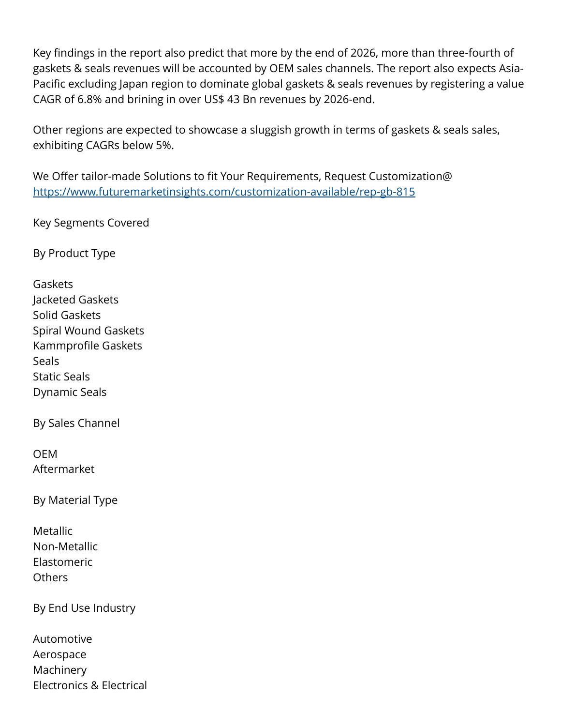Key findings in the report also predict that more by the end of 2026, more than three-fourth of gaskets & seals revenues will be accounted by OEM sales channels. The report also expects Asia-Pacific excluding Japan region to dominate global gaskets & seals revenues by registering a value CAGR of 6.8% and brining in over US\$ 43 Bn revenues by 2026-end.

Other regions are expected to showcase a sluggish growth in terms of gaskets & seals sales, exhibiting CAGRs below 5%.

We Offer tailor-made Solutions to fit Your Requirements, Request Customization@ <https://www.futuremarketinsights.com/customization-available/rep-gb-815>

Key Segments Covered

By Product Type

Gaskets Jacketed Gaskets Solid Gaskets Spiral Wound Gaskets Kammprofile Gaskets **Seals** Static Seals Dynamic Seals

By Sales Channel

OEM Aftermarket

By Material Type

**Metallic** Non-Metallic Elastomeric Others

By End Use Industry

| Automotive                          |
|-------------------------------------|
| Aerospace                           |
| Machinery                           |
| <b>Electronics &amp; Electrical</b> |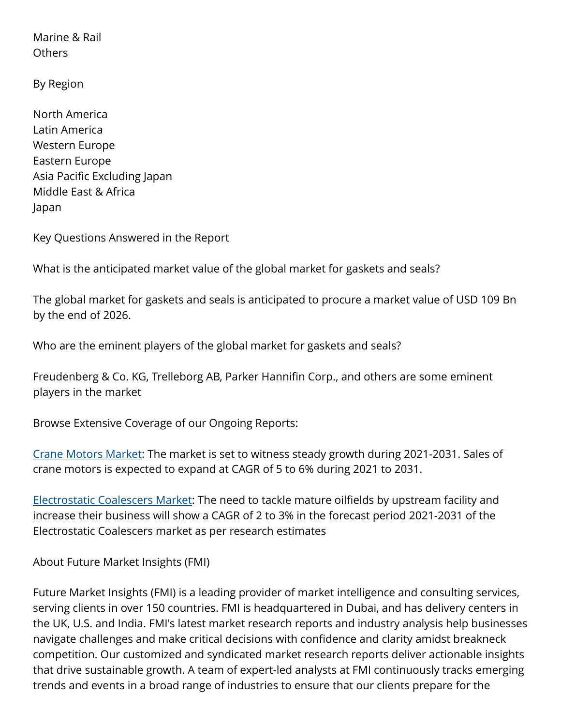Marine & Rail Others

By Region

North America Latin America Western Europe Eastern Europe Asia Pacific Excluding Japan Middle East & Africa Japan

Key Questions Answered in the Report

What is the anticipated market value of the global market for gaskets and seals?

The global market for gaskets and seals is anticipated to procure a market value of USD 109 Bn by the end of 2026.

Who are the eminent players of the global market for gaskets and seals?

Freudenberg & Co. KG, Trelleborg AB, Parker Hannifin Corp., and others are some eminent players in the market

Browse Extensive Coverage of our Ongoing Reports:

[Crane Motors Market:](https://www.futuremarketinsights.com/reports/crane-motors-market) The market is set to witness steady growth during 2021-2031. Sales of crane motors is expected to expand at CAGR of 5 to 6% during 2021 to 2031.

[Electrostatic Coalescers Market:](https://www.futuremarketinsights.com/reports/electrostatic-coalescers-market) The need to tackle mature oilfields by upstream facility and increase their business will show a CAGR of 2 to 3% in the forecast period 2021-2031 of the Electrostatic Coalescers market as per research estimates

About Future Market Insights (FMI)

Future Market Insights (FMI) is a leading provider of market intelligence and consulting services, serving clients in over 150 countries. FMI is headquartered in Dubai, and has delivery centers in the UK, U.S. and India. FMI's latest market research reports and industry analysis help businesses navigate challenges and make critical decisions with confidence and clarity amidst breakneck competition. Our customized and syndicated market research reports deliver actionable insights that drive sustainable growth. A team of expert-led analysts at FMI continuously tracks emerging trends and events in a broad range of industries to ensure that our clients prepare for the